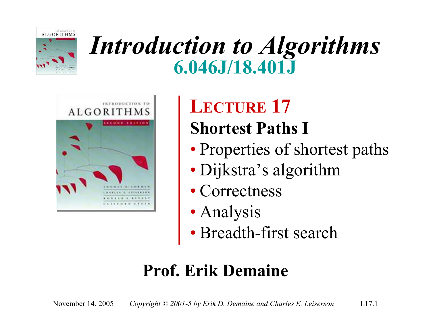

# *Introduction to Algorithms* **6.046J/18.401J**



#### **LECTURE 17 Shortest Paths I**

- Properties of shortest paths
- Dijkstra's algorithm
- Correctness
- Analysis
- Breadth-first search

#### **Prof. Erik Demaine**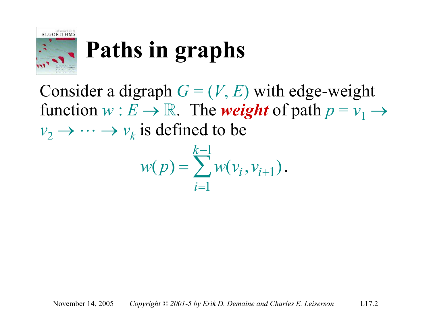

# **Paths in graphs**

Consider a digraph  $G = (V, E)$  with edge-weight function  $w : E \to \mathbb{R}$ . The *weight* of path  $p = v_1 \to$  $v_2 \rightarrow \cdots \rightarrow v_k$  is defined to be

$$
w(p) = \sum_{i=1}^{k-1} w(v_i, v_{i+1}).
$$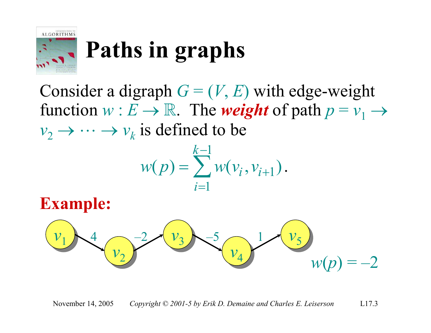

# **Paths in graphs**

Consider a digraph  $G = (V, E)$  with edge-weight function  $w : E \to \mathbb{R}$ . The *weight* of path  $p = v_1 \to$  $v_2 \rightarrow \cdots \rightarrow v_k$  is defined to be

$$
w(p) = \sum_{i=1}^{k-1} w(v_i, v_{i+1}).
$$

**Example:**

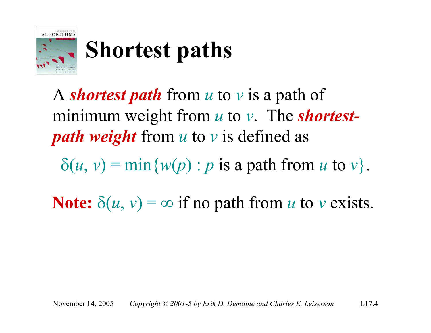

# **Shortest paths**

A *shortest path* from *u* to *v* is a path of minimum weight from *u* to *v*. The *shortestpath weight* from *u* to *v* is defined as

 $\delta(u, v) = \min\{w(p) : p \text{ is a path from } u \text{ to } v\}.$ 

**Note:**  $\delta(u, v) = \infty$  if no path from *u* to *v* exists.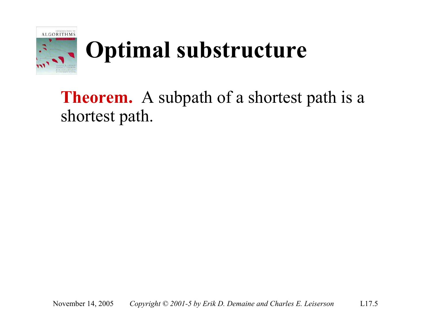

# **Optimal substructure**

**Theorem.** A subpath of a shortest path is a shortest path.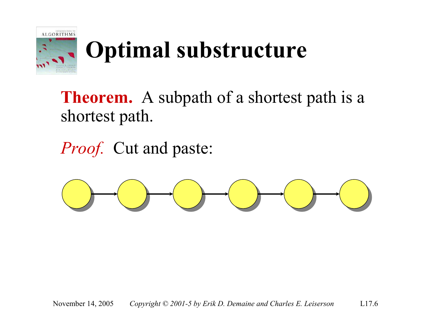

# **Optimal substructure**

**Theorem.** A subpath of a shortest path is a shortest path.

*Proof.* Cut and paste:

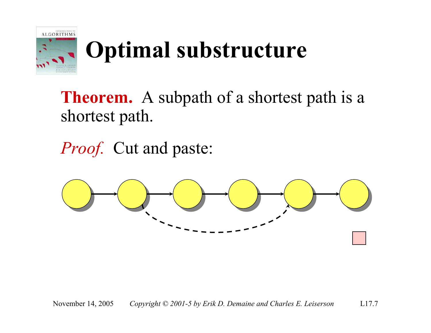

# **Optimal substructure**

**Theorem.** A subpath of a shortest path is a shortest path.

*Proof.* Cut and paste:

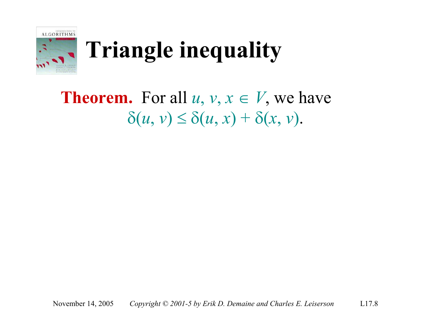

# **Triangle inequality**

#### **Theorem.** For all  $u, v, x \in V$ , we have  $\delta(u, v) \leq \delta(u, x) + \delta(x, v).$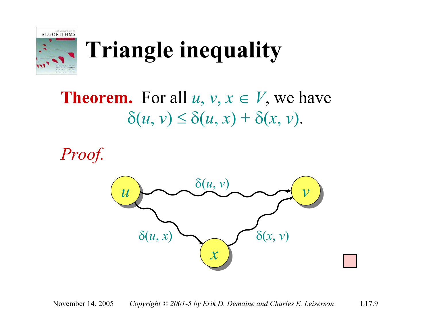

# **Triangle inequality**

**Theorem.** For all  $u, v, x \in V$ , we have  $\delta(u, v) \leq \delta(u, x) + \delta(x, v).$ 

*Proof.*

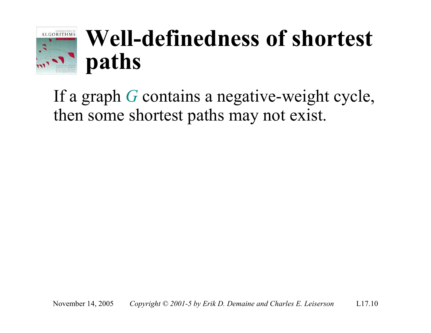

# **Well-definedness of shortest paths**

If a graph *G* contains a negative-weight cycle, then some shortest paths may not exist.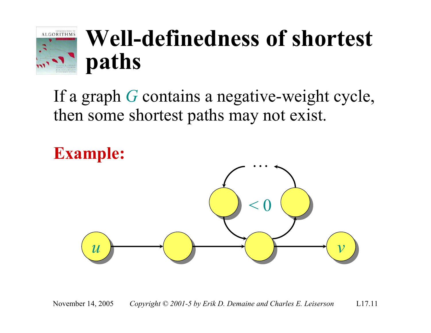

# **Well-definedness of shortest paths**

If a graph *G* contains a negative-weight cycle, then some shortest paths may not exist.

**Example:**

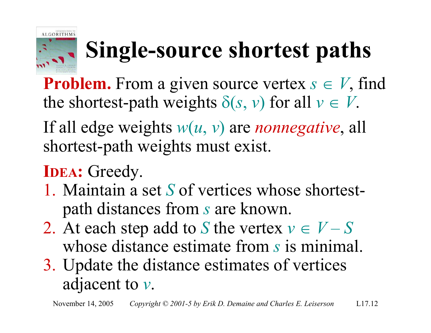

# **Single-source shortest paths**

**Problem.** From a given source vertex  $s \in V$ , find the shortest-path weights  $\delta(s, v)$  for all  $v \in V$ .

If all edge weights *w*(*u*, *v*) are *nonnegative*, all shortest-path weights must exist.

#### **IDEA:** Greedy.

- 1. Maintain a set *S* of vertices whose shortestpath distances from *s* are known.
- 2. At each step add to *S* the vertex  $v \in V S$ whose distance estimate from *s* is minimal.
- 3. Update the distance estimates of vertices adjacent to *v*.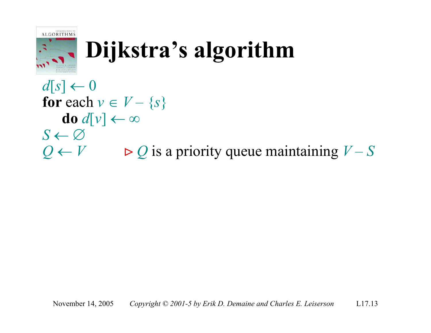

# **Dijkstra's algorithm**

 $d[s] \leftarrow 0$ for each  $v \in V - \{s\}$ **do**  $d[v] \leftarrow \infty$  $S \leftarrow \varnothing$  $Q \leftarrow V$   $\triangleright Q$  is a priority queue maintaining *V* – *S*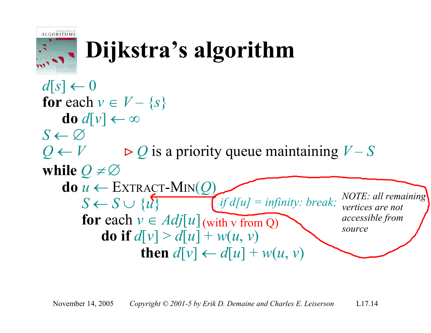

# **Dijkstra's algorithm**

```
d[s] \leftarrow 0for each v \in V - \{s\}do d[v] \leftarrow \inftyS \leftarrow \varnothingQ \leftarrow V \triangleright Q is a priority queue maintaining V – S
while Q \neq \emptysetd\mathbf{o} u \leftarrow \text{EXTRACT-MIN}(Q)S \leftarrow S \cup \{u\} if d[u] = infinity: break; NOTE: all remaining
         for each v \in Adj[u] (with v from Q)
             do if d[v] > d[u] + w(u, v)then d[v] \leftarrow d[u] + w(u, v)<u>zives</u> are not
                                                                      accessible from
                                                                      source
```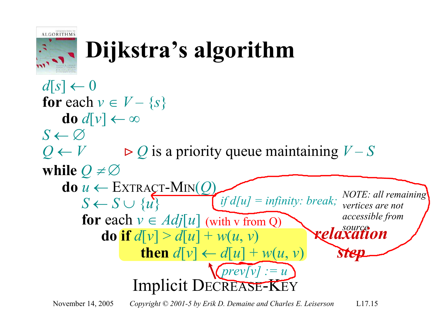

# **Dijkstra's algorithm**

 $d[s] \leftarrow 0$ for each  $v \in V - \{s\}$ **do**  $d[v] \leftarrow \infty$  $S \leftarrow \varnothing$  $Q \leftarrow V$   $\triangleright Q$  is a priority queue maintaining *V* – *S* **while**  $Q \neq \emptyset$  $d\mathbf{o} u \leftarrow \text{EXTRACT-MIN}(Q)$  $S \leftarrow S \cup \{u\}$ **for** each  $v \in Adj[u]$  (with v from Q) **do if**  $d[v] > d[u] + w(u, v)$ **then**  $d[v] \leftarrow d[u] + w(u, v)$ Implicit DECREASE-KEY  $\boldsymbol{\kappa}$ elaxation *step*  $T(\text{prev}[v] := u)$  $\mathcal{F}_{if}d[u] = \text{infinity: break};\ \text{NOTE: all remaining}$ *zivertices are not accessible from* 

November 14, 2005 *Copyright © 2001-5 by Erik D. Demaine and Charles E. Leiserson* L17.15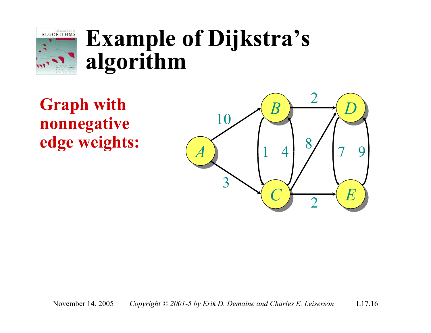

**Graph with nonnegative edge weights:**

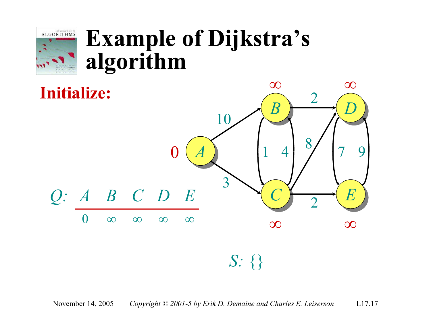

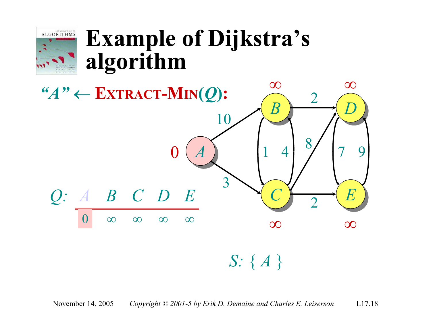



#### November 14, 2005 *Copyright © 2001-5 by Erik D. Demaine and Charles E. Leiserson* L17.18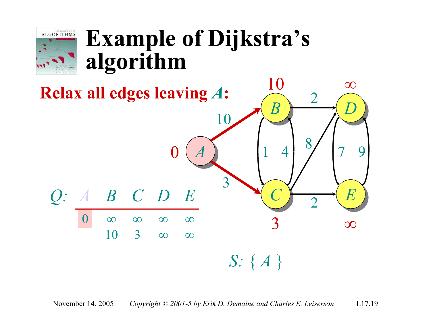

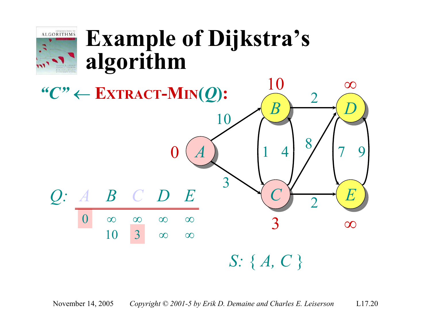

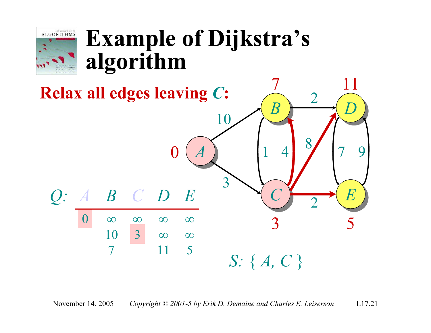

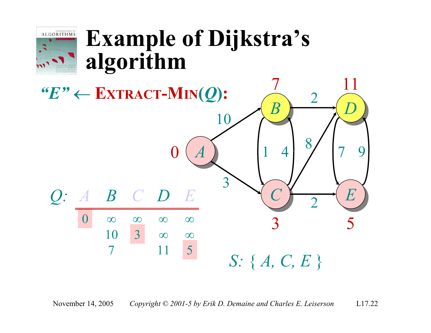

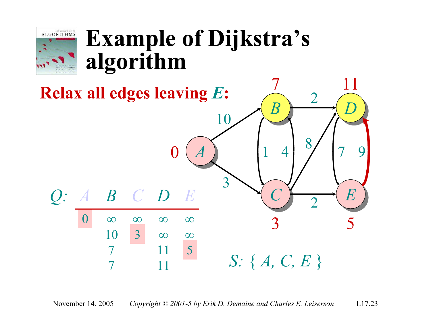

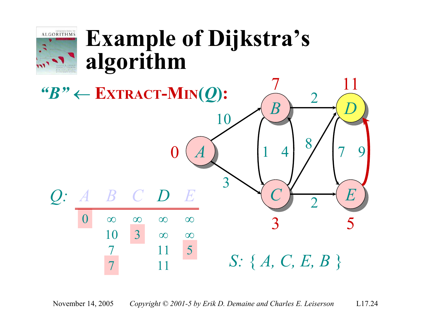

11

*S:* { *A, C, E, B* }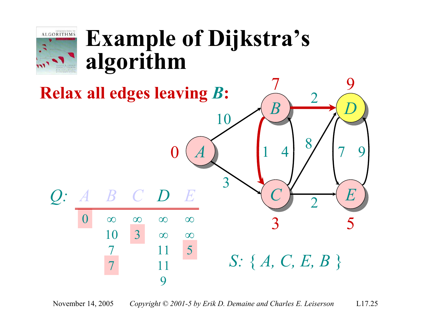

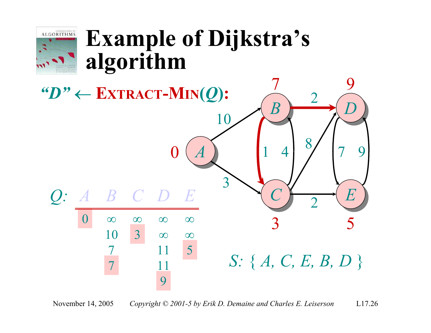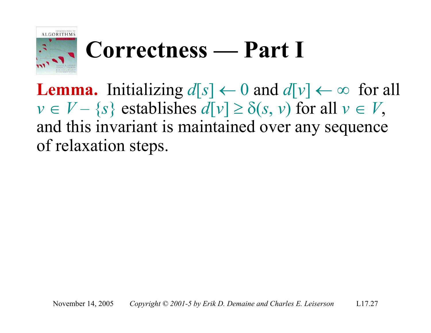

# **Correctness — Part I**

**Lemma.** Initializing  $d[s] \leftarrow 0$  and  $d[v] \leftarrow \infty$  for all  $v \in V - \{s\}$  establishes  $d[v] \ge \delta(s, v)$  for all  $v \in V$ , and this invariant is maintained over any sequence of relaxation steps.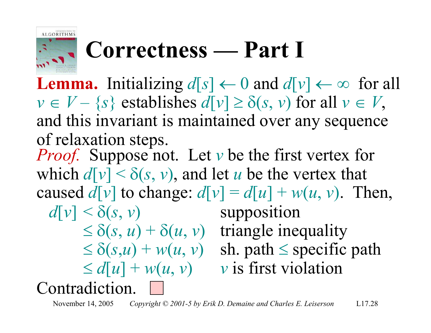

## **Correctness — Part I**

**Lemma.** Initializing  $d[s] \leftarrow 0$  and  $d[v] \leftarrow \infty$  for all  $v \in V - \{s\}$  establishes  $d[v] \ge \delta(s, v)$  for all  $v \in V$ , and this invariant is maintained over any sequence of relaxation steps. *Proof.* Suppose not. Let *v* be the first vertex for which  $d[v] < \delta(s, v)$ , and let *u* be the vertex that caused  $d[v]$  to change:  $d[v] = d[u] + w(u, v)$ . Then,  $d[v] \leq \delta(s, v)$  supposition  $\leq \delta(s, u) + \delta(u, v)$  triangle inequality  $\leq \delta(s, u) + w(u, v)$  sh. path  $\leq$  specific path  $\leq d[u] + w(u, v)$  *v* is first violation Contradiction.

November 14, 2005 *Copyright © 2001-5 by Erik D. Demaine and Charles E. Leiserson* L17.28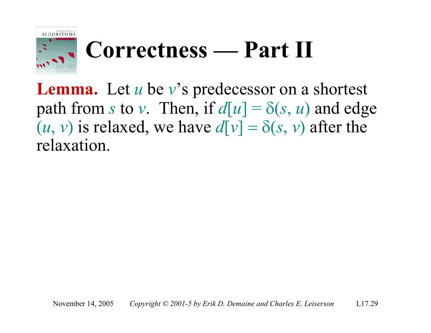

# **Correctness — Part II**

**Lemma.** Let *u* be *v*'s predecessor on a shortest path from *s* to *v*. Then, if  $d[u] = \delta(s, u)$  and edge  $(u, v)$  is relaxed, we have  $d[v] = \delta(s, v)$  after the relaxation.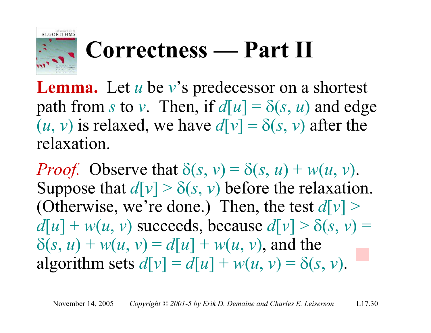

# **Correctness — Part II**

**Lemma.** Let *u* be *v*'s predecessor on a shortest path from *s* to *v*. Then, if  $d[u] = \delta(s, u)$  and edge  $(u, v)$  is relaxed, we have  $d[v] = \delta(s, v)$  after the relaxation.

*Proof.* Observe that  $\delta(s, v) = \delta(s, u) + w(u, v)$ . Suppose that  $d[v] > \delta(s, v)$  before the relaxation. (Otherwise, we're done.) Then, the test  $d[v]$  >  $d[u] + w(u, v)$  succeeds, because  $d[v] > \delta(s, v)$  $\delta(s, u) + w(u, v) = d[u] + w(u, v)$ , and the algorithm sets  $d[v] = d[u] + w(u, v) = \delta(s, v)$ .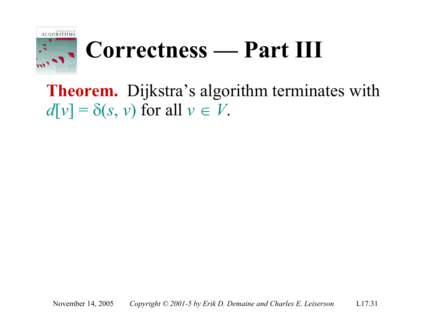

# **Correctness — Part III**

**Theorem.** Dijkstra's algorithm terminates with  $d[v] = \delta(s, v)$  for all  $v \in V$ .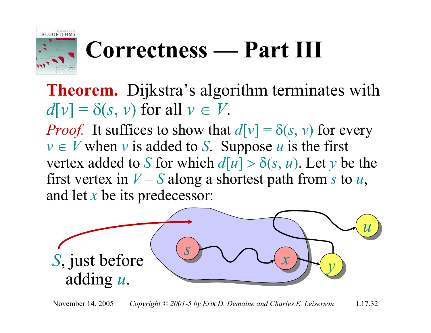

# **Correctness — Part III**

**Theorem.** Dijkstra's algorithm terminates with  $d[v] = \delta(s, v)$  for all  $v \in V$ .

*Proof.* It suffices to show that  $d[v] = \delta(s, v)$  for every  $v \in V$  when *v* is added to *S*. Suppose *u* is the first vertex added to *S* for which  $d[u] > \delta(s, u)$ . Let *y* be the first vertex in  $V - S$  along a shortest path from *s* to *u*, and let *x* be its predecessor:

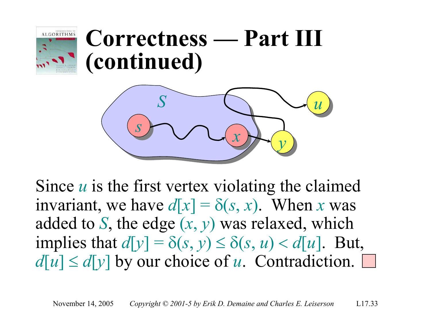

# **Correctness — Part III (continued)**



Since *u* is the first vertex violating the claimed invariant, we have  $d[x] = \delta(s, x)$ . When *x* was added to *S*, the edge (*x*, *y*) was relaxed, which implies that  $d[y] = \delta(s, y) \leq \delta(s, u) < d[u]$ . But,  $d[u] \leq d[y]$  by our choice of *u*. Contradiction.  $\square$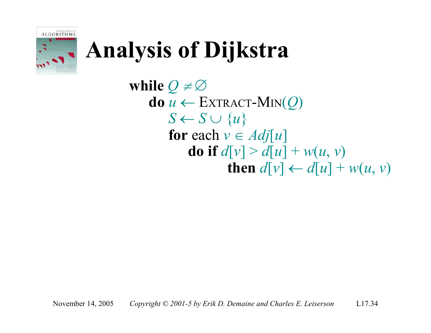

# **Analysis of Dijkstra**

**while**  $Q \neq \emptyset$  $\mathbf{do} \ u \leftarrow \text{EXTRACT-MIN}(\mathcal{Q})$  $S \leftarrow S \cup \{u\}$ **for** each  $v \in Adj[u]$ **do if**  $d[v] > d[u] + w(u, v)$ **then**  $d[v] \leftarrow d[u] + w(u, v)$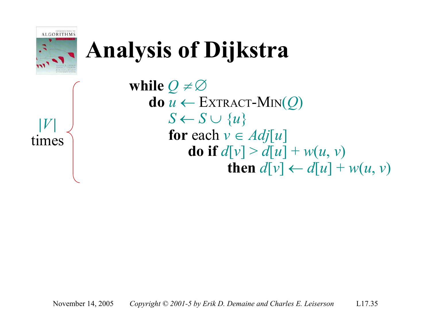

# **Analysis of Dijkstra**

**|***V***|** times **while**  $Q \neq \emptyset$  $\mathbf{do} \ u \leftarrow \text{EXTRACT-MIN}(Q)$  $S \leftarrow S \cup \{u\}$ **for** each  $v \in Adj[u]$ **do** if  $d[v] > d[u] + w(u, v)$ **then**  $d[v] \leftarrow d[u] + w(u, v)$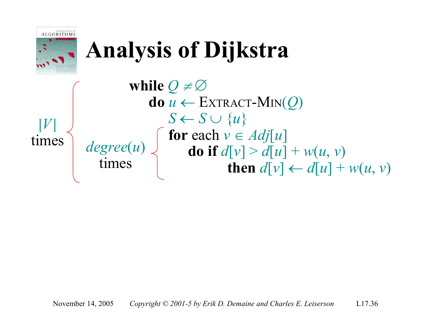

# **Analysis of Dijkstra**

*degree*(*u*) times **|***V***|** times **while**  $Q \neq \emptyset$  $\mathbf{do} \ u \leftarrow \text{EXTRACT-MIN}(\mathcal{Q})$  $S \leftarrow S \cup \{u\}$ for each  $v \in Adj[u]$ **do if**  $d[v] > d[u] + w(u, v)$ **then**  $d[v] \leftarrow d[u] + w(u, v)$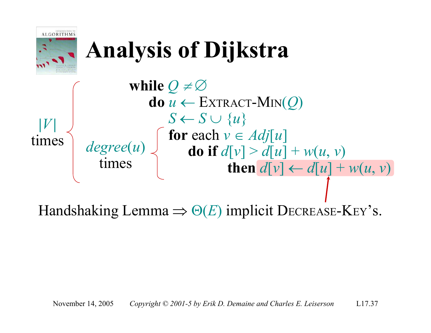

Handshaking Lemma  $\Rightarrow \Theta(E)$  implicit DECREASE-KEY's.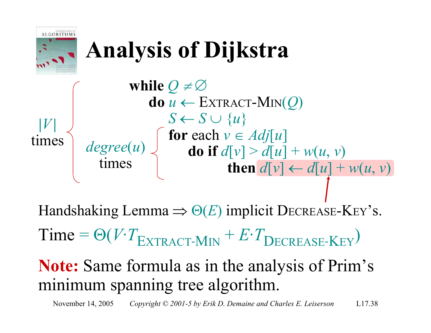

November 14, 2005 *Copyright © 2001-5 by Erik D. Demaine and Charles E. Leiserson* L17.38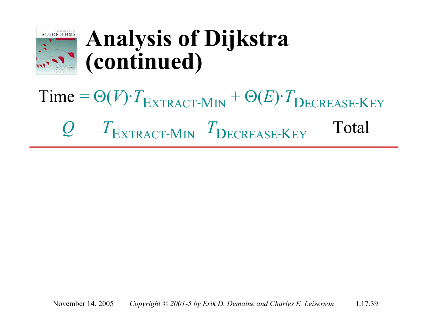

# $Time =  $\Theta(V)$ · $T_{\text{EXTRACT-MIN}} + \Theta(E)$ · $T_{\text{DECREASE-KEY}}$$ Q  $T_{\text{EXTRACT-MIN}}$   $T_{\text{DECREASE-KEY}}$  Total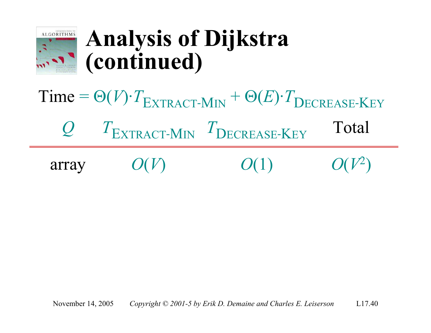

 $Time = \Theta(V) \cdot T_{\text{EXTRACT-MIN}} + \Theta(E) \cdot T_{\text{DECREASE-KEY}}$ Q  $T_{\text{EXTRACT-MIN}}$   $T_{\text{DECREASE-KEY}}$  Total array  $O(V)$   $O(1)$   $O(V)$ 2 )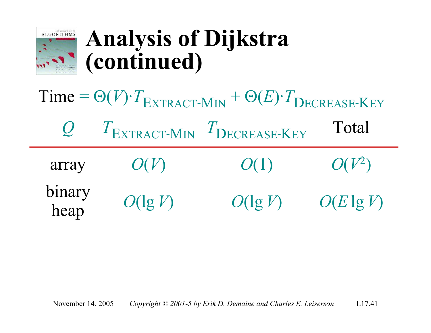

| $Time = \Theta(V) \cdot T_{\text{EXTRACT-MIN}} + \Theta(E) \cdot T_{\text{DECREASE-KEY}}$ |            |                                                    |              |  |
|-------------------------------------------------------------------------------------------|------------|----------------------------------------------------|--------------|--|
| $Q_{\perp}$                                                                               |            | $T_{\text{EXTRACT-MIN}}$ $T_{\text{DECREASE-KEY}}$ | Total        |  |
| array                                                                                     | O(V)       | O(1)                                               | $O(V^2)$     |  |
| binary<br>heap                                                                            | $O(\lg V)$ | $O(\lg V)$                                         | $O(E \lg V)$ |  |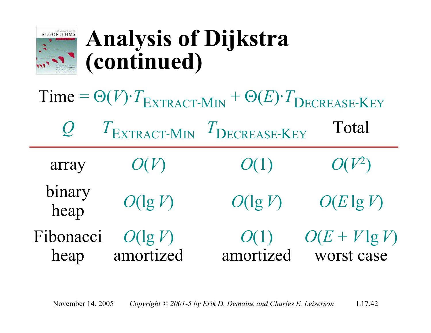

| Time = $\Theta(V) \cdot T_{\text{EXTRACT-MIN}} + \Theta(E) \cdot T_{\text{DECREASE-KEY}}$ |                         |                            |                                |  |  |
|-------------------------------------------------------------------------------------------|-------------------------|----------------------------|--------------------------------|--|--|
| $\mathcal{Q}_1$                                                                           |                         | TEXTRACT-MIN TDECREASE-KEY | Total                          |  |  |
| array                                                                                     | O(V)                    | O(1)                       | $O(V^2)$                       |  |  |
| binary<br>heap                                                                            | $O(\lg V)$              | $O(\lg V)$                 | $O(E \lg V)$                   |  |  |
| Fibonacci<br>heap                                                                         | $O(\lg V)$<br>amortized | O(1)<br>amortized          | $O(E + V \lg V)$<br>worst case |  |  |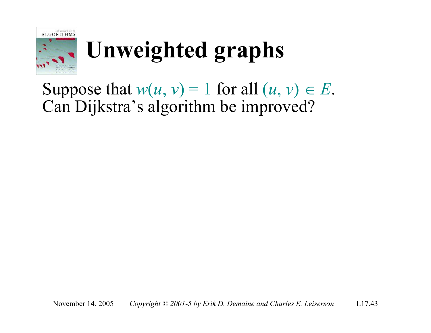

Suppose that  $w(u, v) = 1$  for all  $(u, v) \in E$ . Can Dijkstra's algorithm be improved?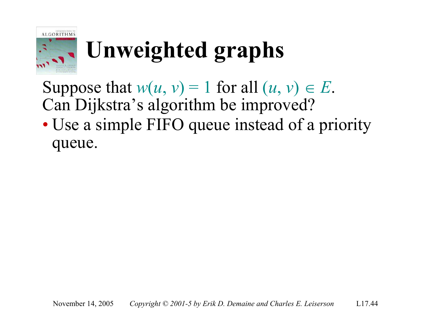

Suppose that  $w(u, v) = 1$  for all  $(u, v) \in E$ . Can Dijkstra's algorithm be improved?

• Use a simple FIFO queue instead of a priority queue.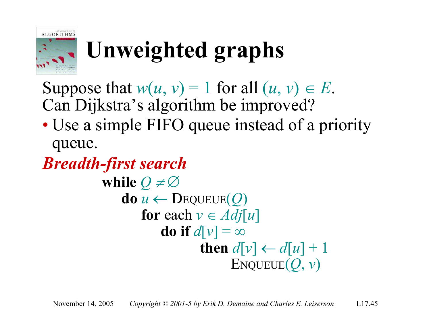

Suppose that  $w(u, v) = 1$  for all  $(u, v) \in E$ . Can Dijkstra's algorithm be improved?

• Use a simple FIFO queue instead of a priority queue.

**while**  $Q \neq \emptyset$  $\mathbf{do} \ u \leftarrow \mathbf{DeQUEUE}(Q)$ **for** each  $v \in Adj[u]$ **do** if  $d[v] = \infty$ **then**  $d[v] \leftarrow d[u] + 1$ ENQUEUE(*Q*, *v*) *Breadth-first search*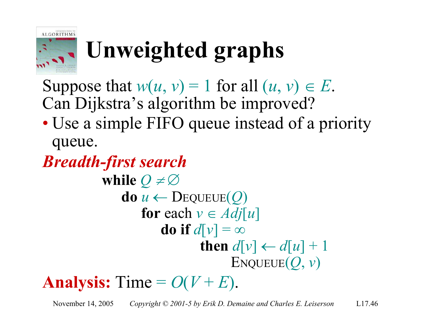

Suppose that  $w(u, v) = 1$  for all  $(u, v) \in E$ . Can Dijkstra's algorithm be improved?

• Use a simple FIFO queue instead of a priority queue.

**while**  $Q \neq \emptyset$  $d\mathbf{o} u \leftarrow \text{Dequeue}(Q)$ **for** each  $v \in Adj[u]$ **do** if  $d[v] = \infty$ **then**  $d[v] \leftarrow d[u] + 1$  $ENQUEUE(Q, v)$ *Breadth-first search*

Analysis: Time  $= O(V + E)$ .

November 14, 2005 *Copyright © 2001-5 by Erik D. Demaine and Charles E. Leiserson* L17.46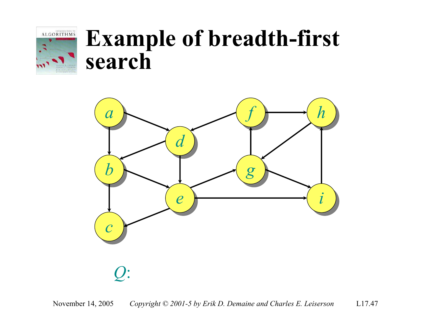

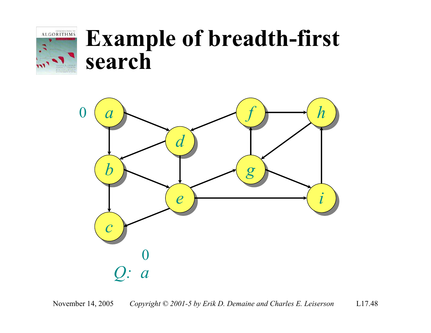

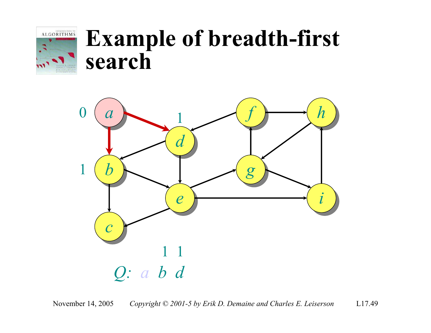

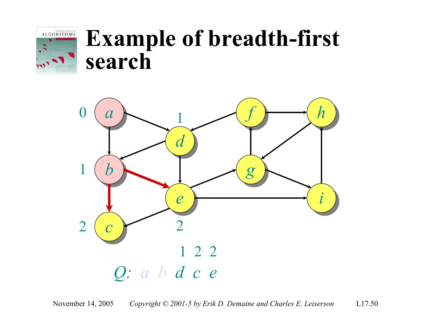

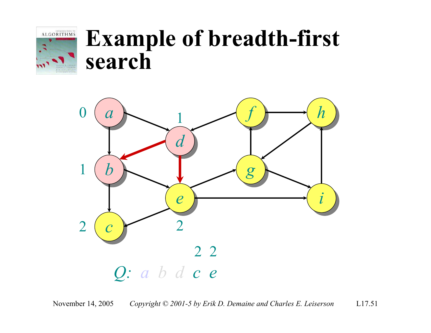

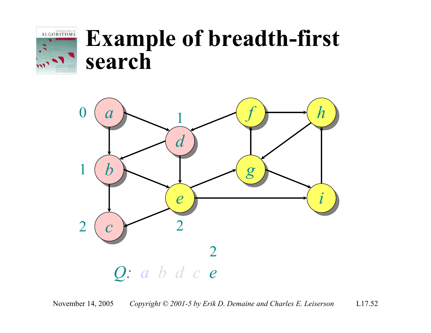

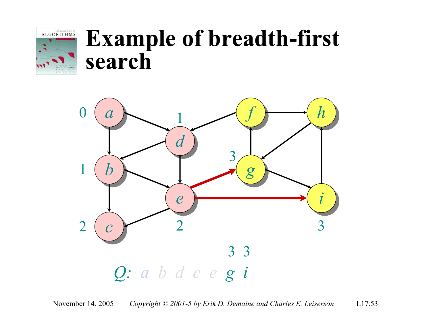

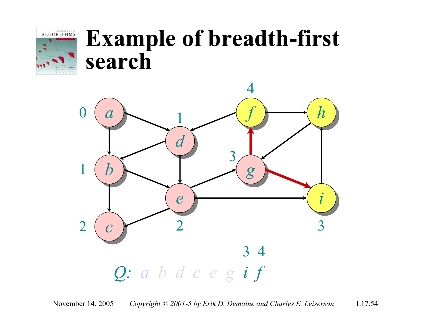

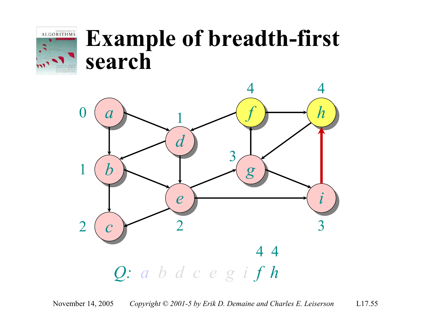

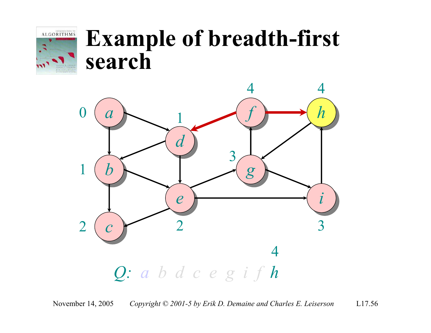

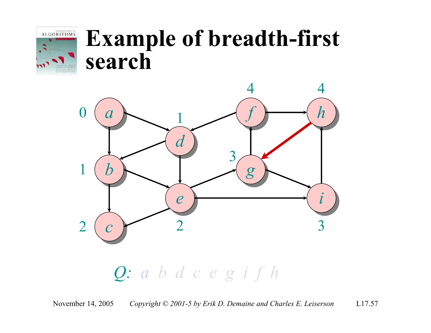



*Q: a bdcegi fh*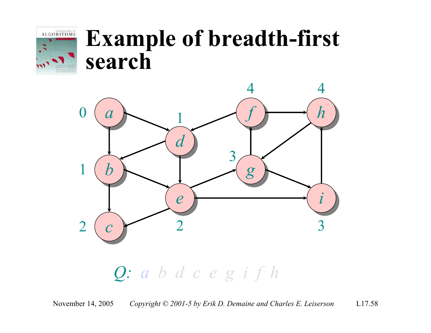



*Q: a bdcegi fh*